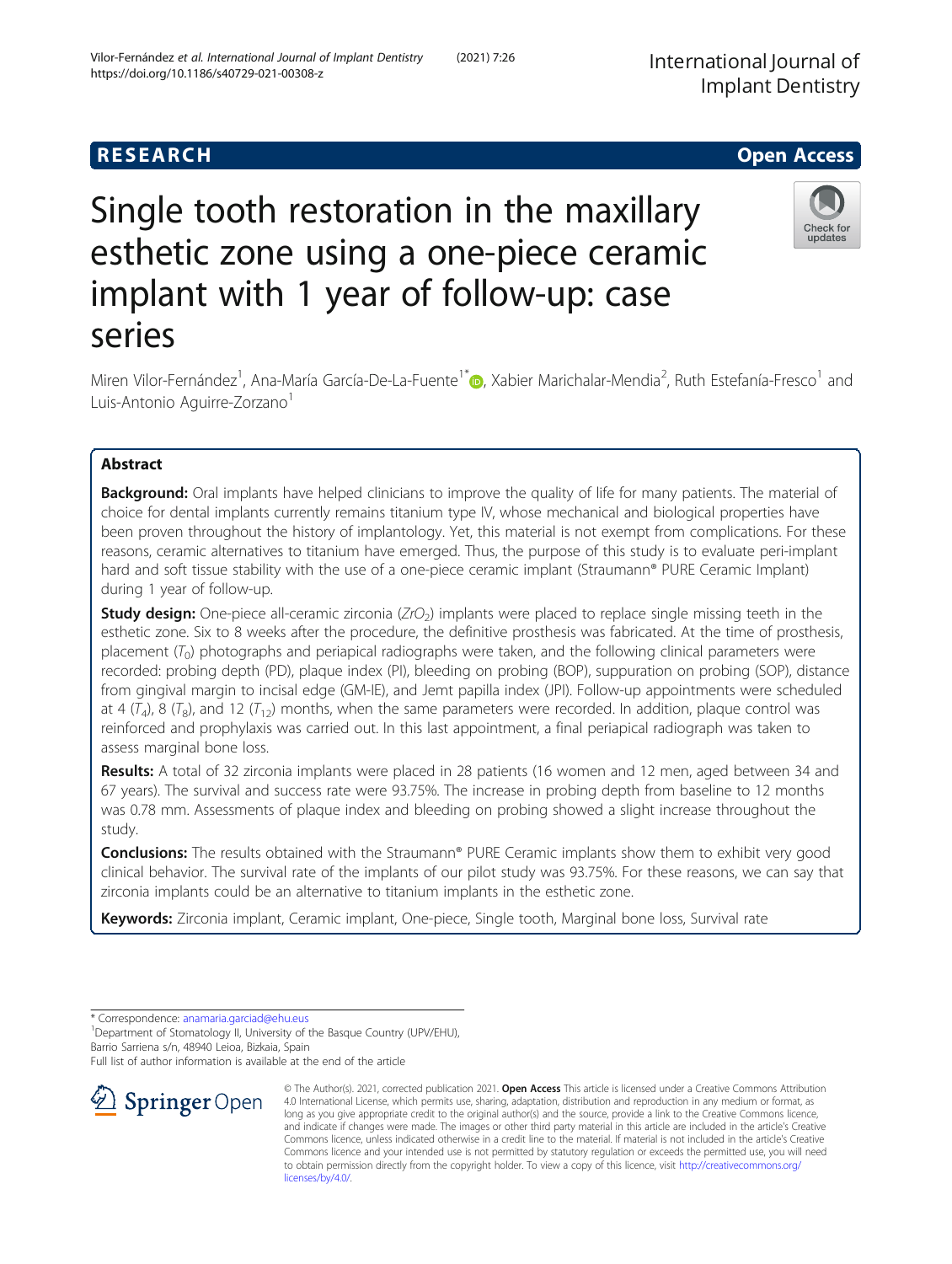# **RESEARCH CHE Open Access**

# Single tooth restoration in the maxillary esthetic zone using a one-piece ceramic implant with 1 year of follow-up: case series

Miren Vilor-Fernández<sup>1</sup>[,](http://orcid.org/0000-0003-4043-1449) Ana-María García-De-La-Fuente<sup>1\*</sup>. , Xabier Marichalar-Mendia<sup>2</sup>, Ruth Estefanía-Fresco<sup>1</sup> and Luis-Antonio Aguirre-Zorzano<sup>1</sup>

# Abstract

**Background:** Oral implants have helped clinicians to improve the quality of life for many patients. The material of choice for dental implants currently remains titanium type IV, whose mechanical and biological properties have been proven throughout the history of implantology. Yet, this material is not exempt from complications. For these reasons, ceramic alternatives to titanium have emerged. Thus, the purpose of this study is to evaluate peri-implant hard and soft tissue stability with the use of a one-piece ceramic implant (Straumann® PURE Ceramic Implant) during 1 year of follow-up.

**Study design:** One-piece all-ceramic zirconia ( $ZrO<sub>2</sub>$ ) implants were placed to replace single missing teeth in the esthetic zone. Six to 8 weeks after the procedure, the definitive prosthesis was fabricated. At the time of prosthesis, placement  $(T<sub>0</sub>)$  photographs and periapical radiographs were taken, and the following clinical parameters were recorded: probing depth (PD), plaque index (PI), bleeding on probing (BOP), suppuration on probing (SOP), distance from gingival margin to incisal edge (GM-IE), and Jemt papilla index (JPI). Follow-up appointments were scheduled at 4  $(T_4)$ , 8  $(T_8)$ , and 12  $(T_{12})$  months, when the same parameters were recorded. In addition, plaque control was reinforced and prophylaxis was carried out. In this last appointment, a final periapical radiograph was taken to assess marginal bone loss.

Results: A total of 32 zirconia implants were placed in 28 patients (16 women and 12 men, aged between 34 and 67 years). The survival and success rate were 93.75%. The increase in probing depth from baseline to 12 months was 0.78 mm. Assessments of plaque index and bleeding on probing showed a slight increase throughout the study.

Conclusions: The results obtained with the Straumann® PURE Ceramic implants show them to exhibit very good clinical behavior. The survival rate of the implants of our pilot study was 93.75%. For these reasons, we can say that zirconia implants could be an alternative to titanium implants in the esthetic zone.

Keywords: Zirconia implant, Ceramic implant, One-piece, Single tooth, Marginal bone loss, Survival rate

\* Correspondence: [anamaria.garciad@ehu.eus](mailto:anamaria.garciad@ehu.eus) <sup>1</sup>

<sup>1</sup> Department of Stomatology II, University of the Basque Country (UPV/EHU), Barrio Sarriena s/n, 48940 Leioa, Bizkaia, Spain

[licenses/by/4.0/](http://creativecommons.org/licenses/by/4.0/).

Full list of author information is available at the end of the article







Check for updates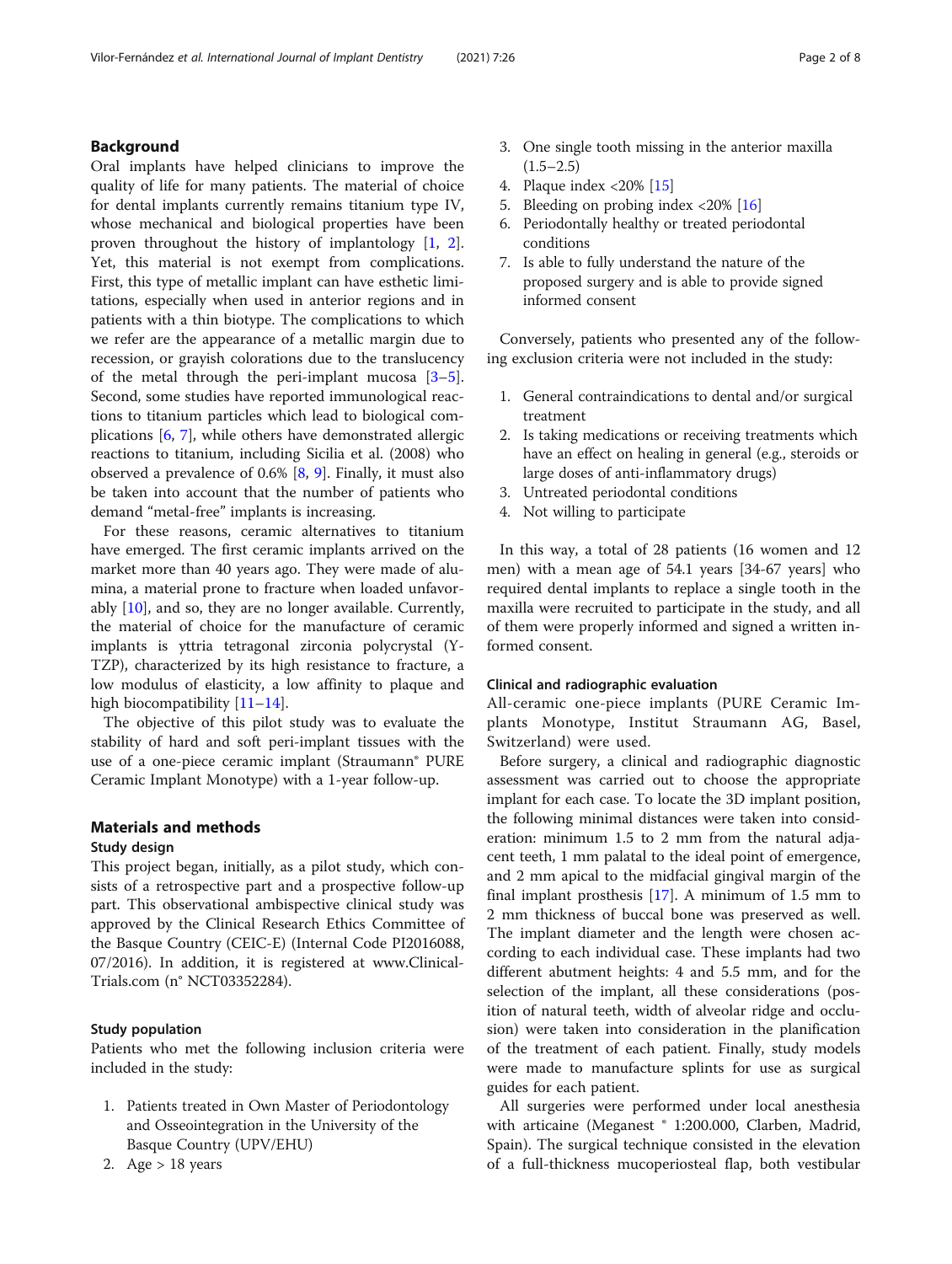# Background

Oral implants have helped clinicians to improve the quality of life for many patients. The material of choice for dental implants currently remains titanium type IV, whose mechanical and biological properties have been proven throughout the history of implantology [\[1,](#page-7-0) [2](#page-7-0)]. Yet, this material is not exempt from complications. First, this type of metallic implant can have esthetic limitations, especially when used in anterior regions and in patients with a thin biotype. The complications to which we refer are the appearance of a metallic margin due to recession, or grayish colorations due to the translucency of the metal through the peri-implant mucosa [\[3](#page-7-0)–[5](#page-7-0)]. Second, some studies have reported immunological reactions to titanium particles which lead to biological complications [\[6](#page-7-0), [7\]](#page-7-0), while others have demonstrated allergic reactions to titanium, including Sicilia et al. (2008) who observed a prevalence of 0.6% [\[8](#page-7-0), [9](#page-7-0)]. Finally, it must also be taken into account that the number of patients who demand "metal-free" implants is increasing.

For these reasons, ceramic alternatives to titanium have emerged. The first ceramic implants arrived on the market more than 40 years ago. They were made of alumina, a material prone to fracture when loaded unfavorably [\[10](#page-7-0)], and so, they are no longer available. Currently, the material of choice for the manufacture of ceramic implants is yttria tetragonal zirconia polycrystal (Y-TZP), characterized by its high resistance to fracture, a low modulus of elasticity, a low affinity to plaque and high biocompatibility [[11](#page-7-0)–[14](#page-7-0)].

The objective of this pilot study was to evaluate the stability of hard and soft peri-implant tissues with the use of a one-piece ceramic implant (Straumann® PURE Ceramic Implant Monotype) with a 1-year follow-up.

# Materials and methods

## Study design

This project began, initially, as a pilot study, which consists of a retrospective part and a prospective follow-up part. This observational ambispective clinical study was approved by the Clinical Research Ethics Committee of the Basque Country (CEIC-E) (Internal Code PI2016088, 07/2016). In addition, it is registered at www.Clinical-Trials.com (n° NCT03352284).

# Study population

Patients who met the following inclusion criteria were included in the study:

- 1. Patients treated in Own Master of Periodontology and Osseointegration in the University of the Basque Country (UPV/EHU)
- 2. Age > 18 years
- 3. One single tooth missing in the anterior maxilla  $(1.5–2.5)$
- 4. Plaque index <20% [\[15\]](#page-7-0)
- 5. Bleeding on probing index <20% [\[16\]](#page-7-0)
- 6. Periodontally healthy or treated periodontal conditions
- 7. Is able to fully understand the nature of the proposed surgery and is able to provide signed informed consent

Conversely, patients who presented any of the following exclusion criteria were not included in the study:

- 1. General contraindications to dental and/or surgical treatment
- 2. Is taking medications or receiving treatments which have an effect on healing in general (e.g., steroids or large doses of anti-inflammatory drugs)
- 3. Untreated periodontal conditions
- 4. Not willing to participate

In this way, a total of 28 patients (16 women and 12 men) with a mean age of 54.1 years [34-67 years] who required dental implants to replace a single tooth in the maxilla were recruited to participate in the study, and all of them were properly informed and signed a written informed consent.

#### Clinical and radiographic evaluation

All-ceramic one-piece implants (PURE Ceramic Implants Monotype, Institut Straumann AG, Basel, Switzerland) were used.

Before surgery, a clinical and radiographic diagnostic assessment was carried out to choose the appropriate implant for each case. To locate the 3D implant position, the following minimal distances were taken into consideration: minimum 1.5 to 2 mm from the natural adjacent teeth, 1 mm palatal to the ideal point of emergence, and 2 mm apical to the midfacial gingival margin of the final implant prosthesis  $[17]$ . A minimum of 1.5 mm to 2 mm thickness of buccal bone was preserved as well. The implant diameter and the length were chosen according to each individual case. These implants had two different abutment heights: 4 and 5.5 mm, and for the selection of the implant, all these considerations (position of natural teeth, width of alveolar ridge and occlusion) were taken into consideration in the planification of the treatment of each patient. Finally, study models were made to manufacture splints for use as surgical guides for each patient.

All surgeries were performed under local anesthesia with articaine (Meganest ® 1:200.000, Clarben, Madrid, Spain). The surgical technique consisted in the elevation of a full-thickness mucoperiosteal flap, both vestibular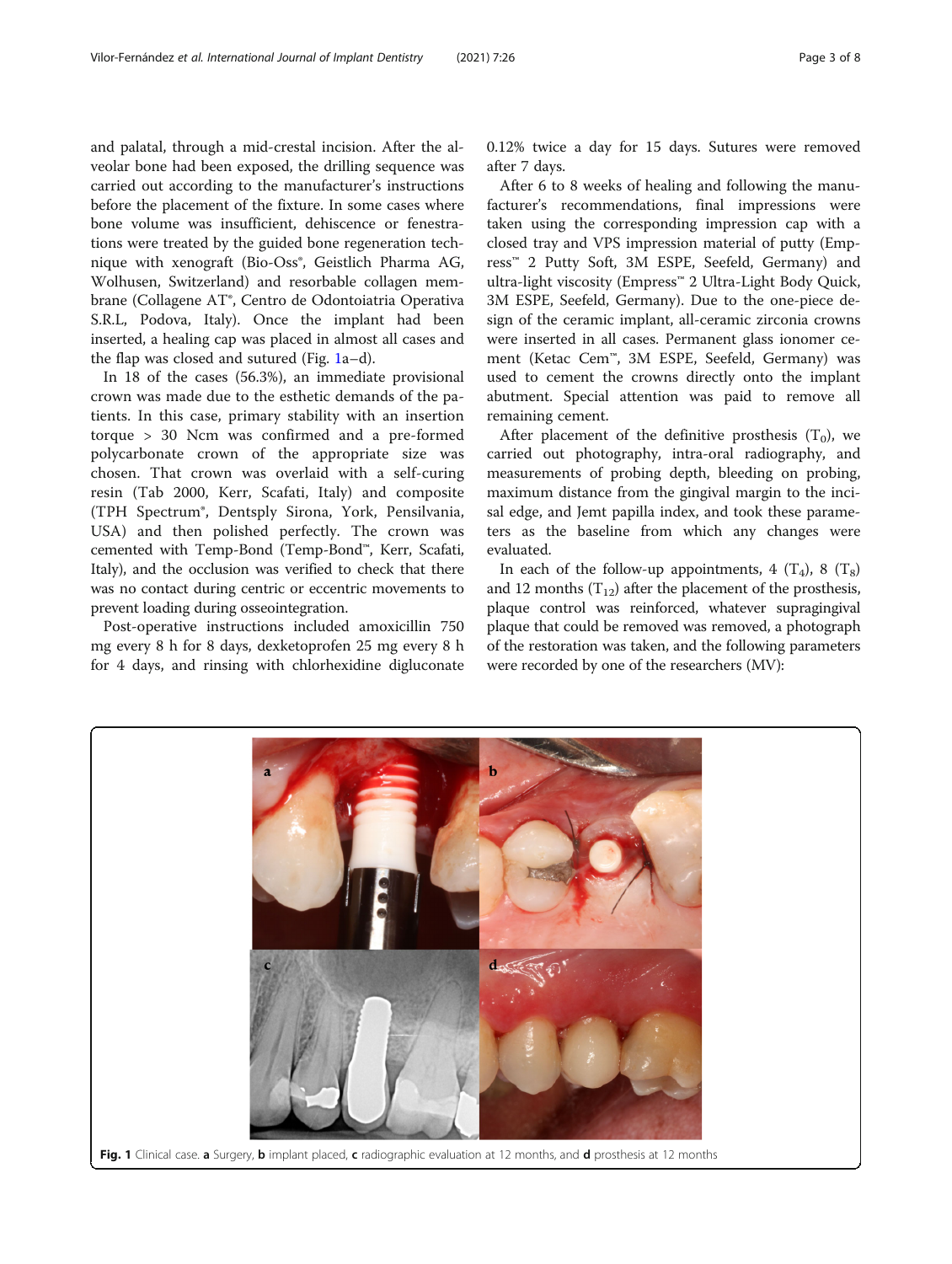and palatal, through a mid-crestal incision. After the alveolar bone had been exposed, the drilling sequence was carried out according to the manufacturer's instructions before the placement of the fixture. In some cases where bone volume was insufficient, dehiscence or fenestrations were treated by the guided bone regeneration technique with xenograft (Bio-Oss<sup>®</sup>, Geistlich Pharma AG, Wolhusen, Switzerland) and resorbable collagen membrane (Collagene AT®, Centro de Odontoiatria Operativa S.R.L, Podova, Italy). Once the implant had been inserted, a healing cap was placed in almost all cases and the flap was closed and sutured (Fig. 1a–d).

In 18 of the cases (56.3%), an immediate provisional crown was made due to the esthetic demands of the patients. In this case, primary stability with an insertion torque > 30 Ncm was confirmed and a pre-formed polycarbonate crown of the appropriate size was chosen. That crown was overlaid with a self-curing resin (Tab 2000, Kerr, Scafati, Italy) and composite (TPH Spectrum®, Dentsply Sirona, York, Pensilvania, USA) and then polished perfectly. The crown was cemented with Temp-Bond (Temp-Bond™, Kerr, Scafati, Italy), and the occlusion was verified to check that there was no contact during centric or eccentric movements to prevent loading during osseointegration.

Post-operative instructions included amoxicillin 750 mg every 8 h for 8 days, dexketoprofen 25 mg every 8 h for 4 days, and rinsing with chlorhexidine digluconate 0.12% twice a day for 15 days. Sutures were removed after 7 days.

After 6 to 8 weeks of healing and following the manufacturer's recommendations, final impressions were taken using the corresponding impression cap with a closed tray and VPS impression material of putty (Empress™ 2 Putty Soft, 3M ESPE, Seefeld, Germany) and ultra-light viscosity (Empress™ 2 Ultra-Light Body Quick, 3M ESPE, Seefeld, Germany). Due to the one-piece design of the ceramic implant, all-ceramic zirconia crowns were inserted in all cases. Permanent glass ionomer cement (Ketac Cem™, 3M ESPE, Seefeld, Germany) was used to cement the crowns directly onto the implant abutment. Special attention was paid to remove all remaining cement.

After placement of the definitive prosthesis  $(T_0)$ , we carried out photography, intra-oral radiography, and measurements of probing depth, bleeding on probing, maximum distance from the gingival margin to the incisal edge, and Jemt papilla index, and took these parameters as the baseline from which any changes were evaluated.

In each of the follow-up appointments, 4  $(T_4)$ , 8  $(T_8)$ and 12 months  $(T_{12})$  after the placement of the prosthesis, plaque control was reinforced, whatever supragingival plaque that could be removed was removed, a photograph of the restoration was taken, and the following parameters were recorded by one of the researchers (MV):

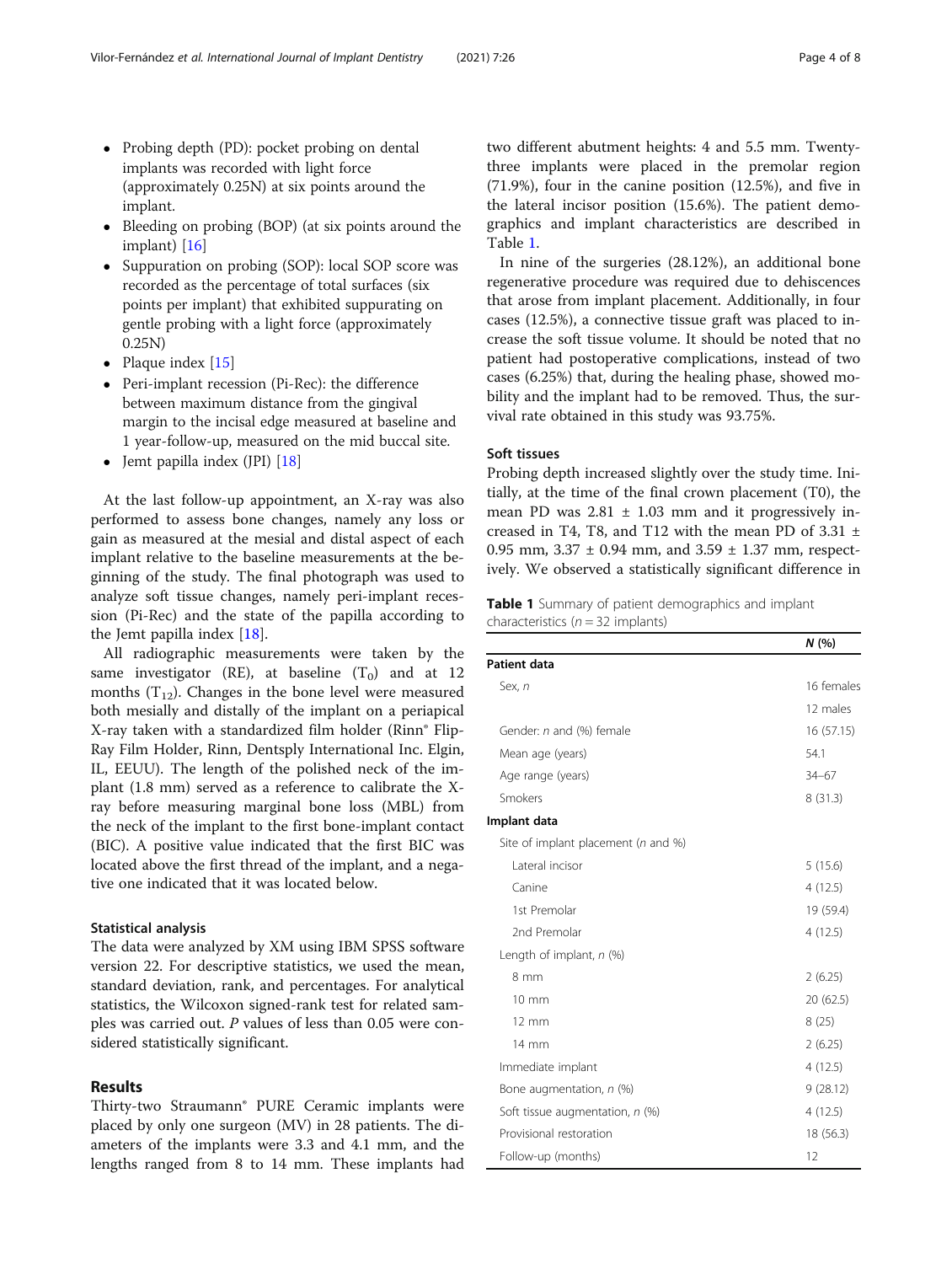- Probing depth (PD): pocket probing on dental implants was recorded with light force (approximately 0.25N) at six points around the implant.
- Bleeding on probing (BOP) (at six points around the implant) [[16](#page-7-0)]
- Suppuration on probing (SOP): local SOP score was recorded as the percentage of total surfaces (six points per implant) that exhibited suppurating on gentle probing with a light force (approximately 0.25N)
- Plaque index  $[15]$
- Peri-implant recession (Pi-Rec): the difference between maximum distance from the gingival margin to the incisal edge measured at baseline and 1 year-follow-up, measured on the mid buccal site.
- Jemt papilla index (JPI) [[18\]](#page-7-0)

At the last follow-up appointment, an X-ray was also performed to assess bone changes, namely any loss or gain as measured at the mesial and distal aspect of each implant relative to the baseline measurements at the beginning of the study. The final photograph was used to analyze soft tissue changes, namely peri-implant recession (Pi-Rec) and the state of the papilla according to the Jemt papilla index [[18](#page-7-0)].

All radiographic measurements were taken by the same investigator (RE), at baseline  $(T_0)$  and at 12 months  $(T_{12})$ . Changes in the bone level were measured both mesially and distally of the implant on a periapical X-ray taken with a standardized film holder (Rinn® Flip-Ray Film Holder, Rinn, Dentsply International Inc. Elgin, IL, EEUU). The length of the polished neck of the implant (1.8 mm) served as a reference to calibrate the Xray before measuring marginal bone loss (MBL) from the neck of the implant to the first bone-implant contact (BIC). A positive value indicated that the first BIC was located above the first thread of the implant, and a negative one indicated that it was located below.

#### Statistical analysis

The data were analyzed by XM using IBM SPSS software version 22. For descriptive statistics, we used the mean, standard deviation, rank, and percentages. For analytical statistics, the Wilcoxon signed-rank test for related samples was carried out. P values of less than 0.05 were considered statistically significant.

# Results

Thirty-two Straumann® PURE Ceramic implants were placed by only one surgeon (MV) in 28 patients. The diameters of the implants were 3.3 and 4.1 mm, and the lengths ranged from 8 to 14 mm. These implants had two different abutment heights: 4 and 5.5 mm. Twentythree implants were placed in the premolar region (71.9%), four in the canine position (12.5%), and five in the lateral incisor position (15.6%). The patient demographics and implant characteristics are described in Table 1.

In nine of the surgeries (28.12%), an additional bone regenerative procedure was required due to dehiscences that arose from implant placement. Additionally, in four cases (12.5%), a connective tissue graft was placed to increase the soft tissue volume. It should be noted that no patient had postoperative complications, instead of two cases (6.25%) that, during the healing phase, showed mobility and the implant had to be removed. Thus, the survival rate obtained in this study was 93.75%.

### Soft tissues

Probing depth increased slightly over the study time. Initially, at the time of the final crown placement (T0), the mean PD was  $2.81 \pm 1.03$  mm and it progressively increased in T4, T8, and T12 with the mean PD of  $3.31 \pm$ 0.95 mm,  $3.37 \pm 0.94$  mm, and  $3.59 \pm 1.37$  mm, respectively. We observed a statistically significant difference in

# Table 1 Summary of patient demographics and implant characteristics ( $n = 32$  implants)

|                                     | N(%        |
|-------------------------------------|------------|
| Patient data                        |            |
| Sex, n                              | 16 females |
|                                     | 12 males   |
| Gender: n and (%) female            | 16(57.15)  |
| Mean age (years)                    | 54.1       |
| Age range (years)                   | $34 - 67$  |
| Smokers                             | 8(31.3)    |
| Implant data                        |            |
| Site of implant placement (n and %) |            |
| Lateral incisor                     | 5(15.6)    |
| Canine                              | 4(12.5)    |
| 1st Premolar                        | 19 (59.4)  |
| 2nd Premolar                        | 4(12.5)    |
| Length of implant, $n$ (%)          |            |
| 8 mm                                | 2(6.25)    |
| $10 \text{ mm}$                     | 20 (62.5)  |
| 12 mm                               | 8(25)      |
| 14 mm                               | 2(6.25)    |
| Immediate implant                   | 4(12.5)    |
| Bone augmentation, n (%)            | 9(28.12)   |
| Soft tissue augmentation, n (%)     | 4 (12.5)   |
| Provisional restoration             | 18 (56.3)  |
| Follow-up (months)                  | 12         |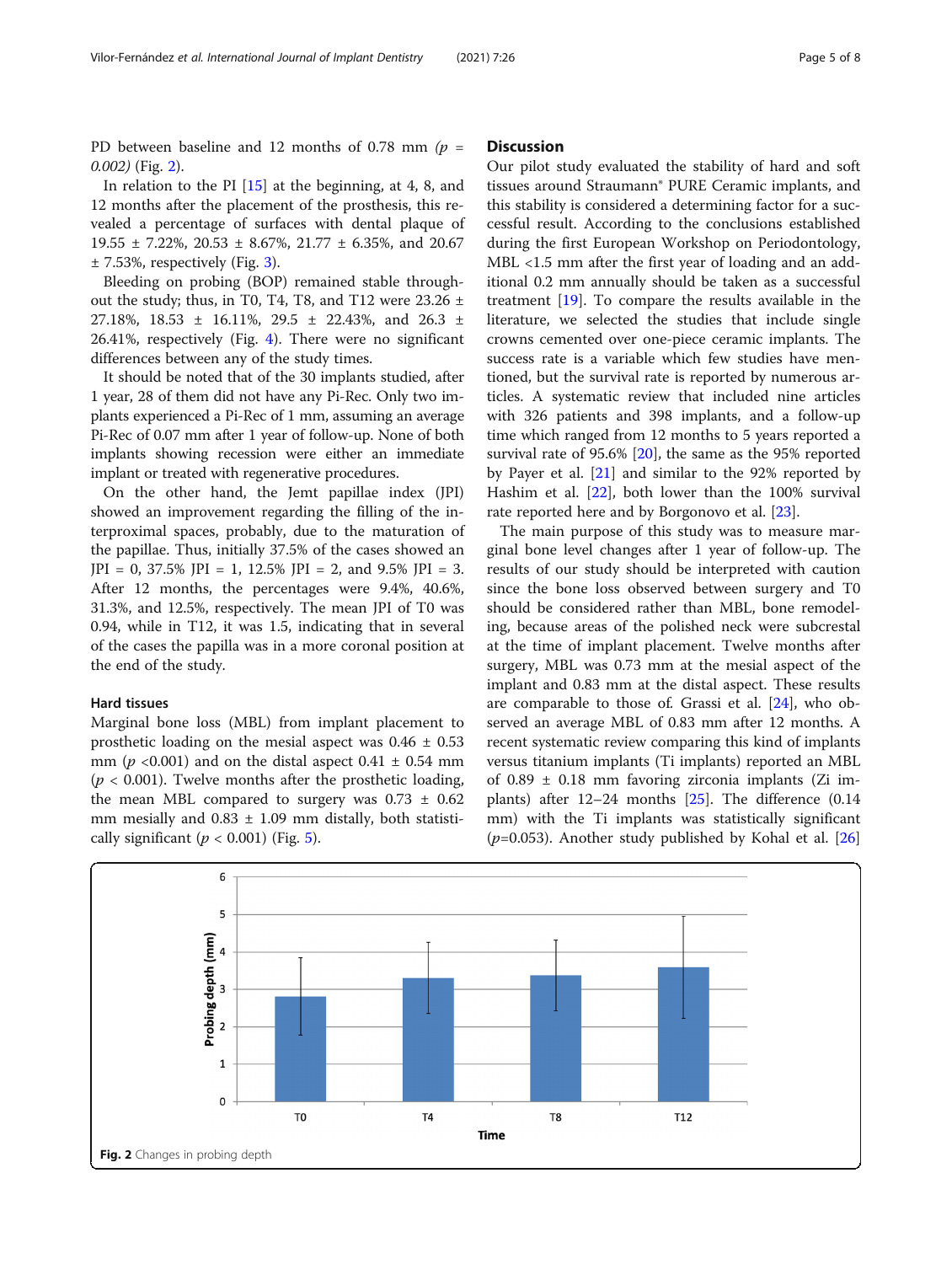PD between baseline and 12 months of 0.78 mm  $(p =$ 0.002) (Fig. 2).

In relation to the PI [[15](#page-7-0)] at the beginning, at 4, 8, and 12 months after the placement of the prosthesis, this revealed a percentage of surfaces with dental plaque of 19.55 ± 7.22%, 20.53 ± 8.67%, 21.77 ± 6.35%, and 20.67  $± 7.53\%$  $± 7.53\%$  $± 7.53\%$ , respectively (Fig. 3).

Bleeding on probing (BOP) remained stable throughout the study; thus, in T0, T4, T8, and T12 were  $23.26 \pm$ 27.18%, 18.53 ± 16.11%, 29.5 ± 22.43%, and 26.3 ± 26.41%, respectively (Fig. [4](#page-5-0)). There were no significant differences between any of the study times.

It should be noted that of the 30 implants studied, after 1 year, 28 of them did not have any Pi-Rec. Only two implants experienced a Pi-Rec of 1 mm, assuming an average Pi-Rec of 0.07 mm after 1 year of follow-up. None of both implants showing recession were either an immediate implant or treated with regenerative procedures.

On the other hand, the Jemt papillae index (JPI) showed an improvement regarding the filling of the interproximal spaces, probably, due to the maturation of the papillae. Thus, initially 37.5% of the cases showed an  $JPI = 0$ , 37.5%  $JPI = 1$ , 12.5%  $JPI = 2$ , and 9.5%  $JPI = 3$ . After 12 months, the percentages were 9.4%, 40.6%, 31.3%, and 12.5%, respectively. The mean JPI of T0 was 0.94, while in T12, it was 1.5, indicating that in several of the cases the papilla was in a more coronal position at the end of the study.

#### Hard tissues

Marginal bone loss (MBL) from implant placement to prosthetic loading on the mesial aspect was  $0.46 \pm 0.53$ mm ( $p \le 0.001$ ) and on the distal aspect  $0.41 \pm 0.54$  mm ( $p < 0.001$ ). Twelve months after the prosthetic loading, the mean MBL compared to surgery was  $0.73 \pm 0.62$ mm mesially and  $0.83 \pm 1.09$  mm distally, both statistically significant ( $p < 0.001$ ) (Fig. [5\)](#page-6-0).

# **Discussion**

Our pilot study evaluated the stability of hard and soft tissues around Straumann® PURE Ceramic implants, and this stability is considered a determining factor for a successful result. According to the conclusions established during the first European Workshop on Periodontology, MBL <1.5 mm after the first year of loading and an additional 0.2 mm annually should be taken as a successful treatment [\[19\]](#page-7-0). To compare the results available in the literature, we selected the studies that include single crowns cemented over one-piece ceramic implants. The success rate is a variable which few studies have mentioned, but the survival rate is reported by numerous articles. A systematic review that included nine articles with 326 patients and 398 implants, and a follow-up time which ranged from 12 months to 5 years reported a survival rate of 95.6% [[20\]](#page-7-0), the same as the 95% reported by Payer et al. [[21](#page-7-0)] and similar to the 92% reported by Hashim et al. [\[22](#page-7-0)], both lower than the 100% survival rate reported here and by Borgonovo et al. [[23](#page-7-0)].

The main purpose of this study was to measure marginal bone level changes after 1 year of follow-up. The results of our study should be interpreted with caution since the bone loss observed between surgery and T0 should be considered rather than MBL, bone remodeling, because areas of the polished neck were subcrestal at the time of implant placement. Twelve months after surgery, MBL was 0.73 mm at the mesial aspect of the implant and 0.83 mm at the distal aspect. These results are comparable to those of. Grassi et al. [[24\]](#page-7-0), who observed an average MBL of 0.83 mm after 12 months. A recent systematic review comparing this kind of implants versus titanium implants (Ti implants) reported an MBL of  $0.89 \pm 0.18$  mm favoring zirconia implants (Zi implants) after  $12-24$  months  $[25]$  $[25]$ . The difference  $(0.14)$ mm) with the Ti implants was statistically significant ( $p=0.053$ ). Another study published by Kohal et al. [[26](#page-7-0)]

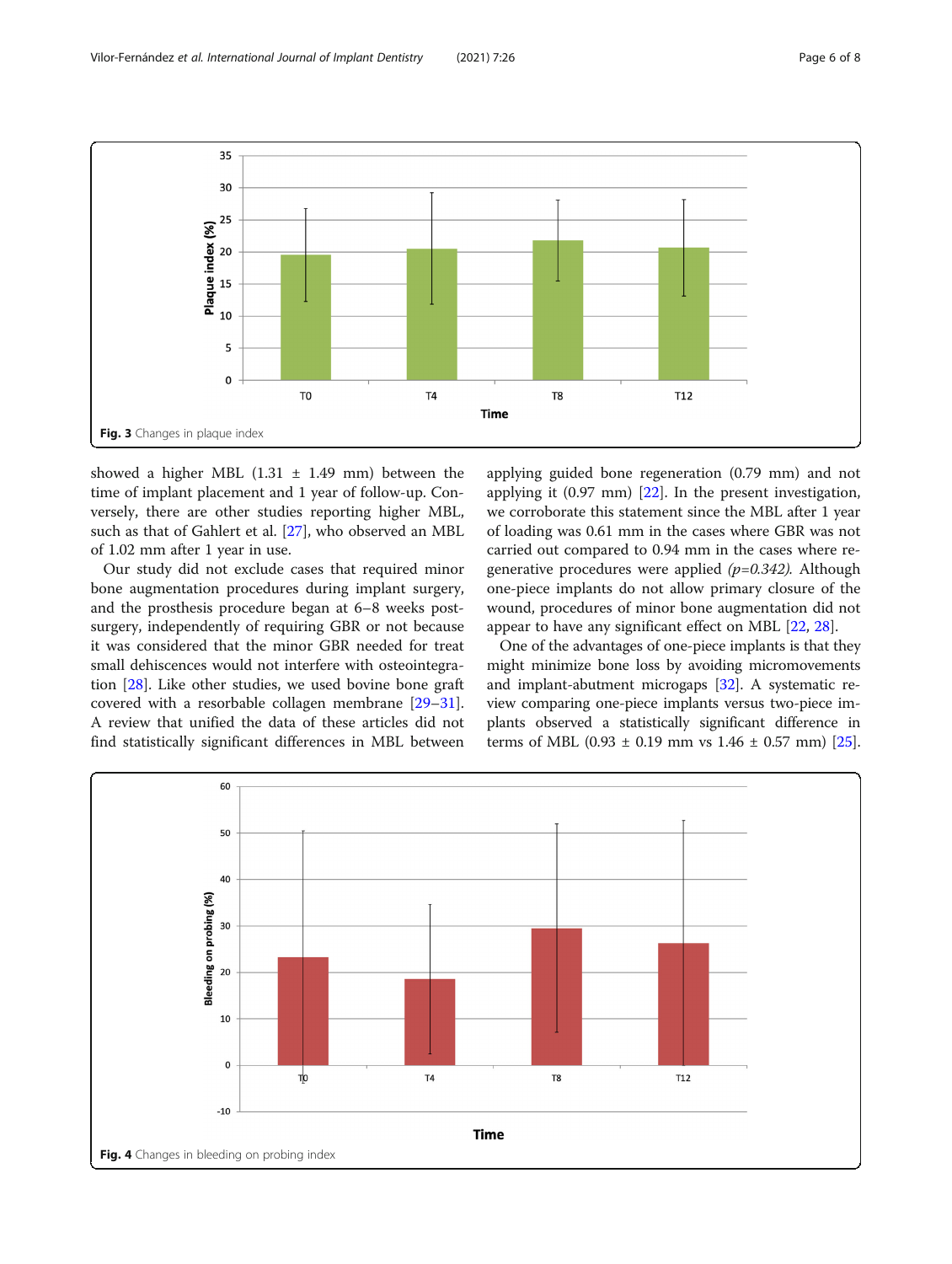<span id="page-5-0"></span>

showed a higher MBL  $(1.31 \pm 1.49 \text{ mm})$  between the time of implant placement and 1 year of follow-up. Conversely, there are other studies reporting higher MBL, such as that of Gahlert et al. [[27](#page-7-0)], who observed an MBL of 1.02 mm after 1 year in use.

Our study did not exclude cases that required minor bone augmentation procedures during implant surgery, and the prosthesis procedure began at 6–8 weeks postsurgery, independently of requiring GBR or not because it was considered that the minor GBR needed for treat small dehiscences would not interfere with osteointegration [[28\]](#page-7-0). Like other studies, we used bovine bone graft covered with a resorbable collagen membrane [[29](#page-7-0)–[31](#page-7-0)]. A review that unified the data of these articles did not find statistically significant differences in MBL between applying guided bone regeneration (0.79 mm) and not applying it (0.97 mm) [[22\]](#page-7-0). In the present investigation, we corroborate this statement since the MBL after 1 year of loading was 0.61 mm in the cases where GBR was not carried out compared to 0.94 mm in the cases where regenerative procedures were applied  $(p=0.342)$ . Although one-piece implants do not allow primary closure of the wound, procedures of minor bone augmentation did not appear to have any significant effect on MBL [[22,](#page-7-0) [28](#page-7-0)].

One of the advantages of one-piece implants is that they might minimize bone loss by avoiding micromovements and implant-abutment microgaps [\[32](#page-7-0)]. A systematic review comparing one-piece implants versus two-piece implants observed a statistically significant difference in terms of MBL (0.93  $\pm$  0.19 mm vs 1.46  $\pm$  0.57 mm) [[25](#page-7-0)].

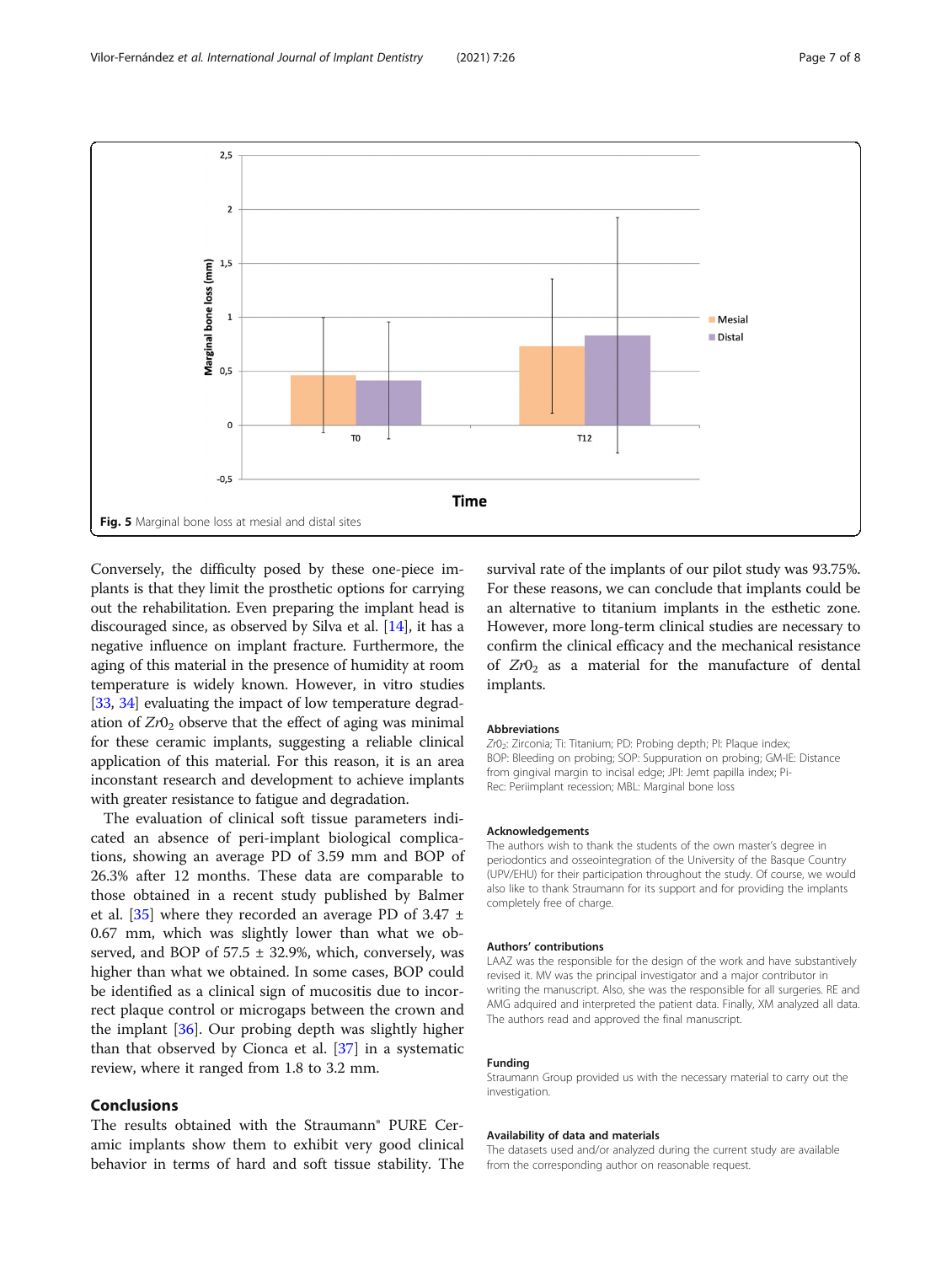<span id="page-6-0"></span>

Conversely, the difficulty posed by these one-piece implants is that they limit the prosthetic options for carrying out the rehabilitation. Even preparing the implant head is discouraged since, as observed by Silva et al. [\[14\]](#page-7-0), it has a negative influence on implant fracture. Furthermore, the aging of this material in the presence of humidity at room temperature is widely known. However, in vitro studies [[33](#page-7-0), [34](#page-7-0)] evaluating the impact of low temperature degradation of  $Zr0<sub>2</sub>$  observe that the effect of aging was minimal for these ceramic implants, suggesting a reliable clinical application of this material. For this reason, it is an area inconstant research and development to achieve implants with greater resistance to fatigue and degradation.

The evaluation of clinical soft tissue parameters indicated an absence of peri-implant biological complications, showing an average PD of 3.59 mm and BOP of 26.3% after 12 months. These data are comparable to those obtained in a recent study published by Balmer et al.  $[35]$  $[35]$  where they recorded an average PD of 3.47  $\pm$ 0.67 mm, which was slightly lower than what we observed, and BOP of  $57.5 \pm 32.9$ %, which, conversely, was higher than what we obtained. In some cases, BOP could be identified as a clinical sign of mucositis due to incorrect plaque control or microgaps between the crown and the implant [[36](#page-7-0)]. Our probing depth was slightly higher than that observed by Cionca et al. [[37](#page-7-0)] in a systematic review, where it ranged from 1.8 to 3.2 mm.

# Conclusions

The results obtained with the Straumann® PURE Ceramic implants show them to exhibit very good clinical behavior in terms of hard and soft tissue stability. The survival rate of the implants of our pilot study was 93.75%. For these reasons, we can conclude that implants could be an alternative to titanium implants in the esthetic zone. However, more long-term clinical studies are necessary to confirm the clinical efficacy and the mechanical resistance of  $Zr0<sub>2</sub>$  as a material for the manufacture of dental implants.

#### Abbreviations

Zr0<sub>2</sub>: Zirconia; Ti: Titanium; PD: Probing depth; PI: Plaque index; BOP: Bleeding on probing; SOP: Suppuration on probing; GM-IE: Distance from gingival margin to incisal edge; JPI: Jemt papilla index; Pi-Rec: Periimplant recession; MBL: Marginal bone loss

#### Acknowledgements

The authors wish to thank the students of the own master's degree in periodontics and osseointegration of the University of the Basque Country (UPV/EHU) for their participation throughout the study. Of course, we would also like to thank Straumann for its support and for providing the implants completely free of charge.

#### Authors' contributions

LAAZ was the responsible for the design of the work and have substantively revised it. MV was the principal investigator and a major contributor in writing the manuscript. Also, she was the responsible for all surgeries. RE and AMG adquired and interpreted the patient data. Finally, XM analyzed all data. The authors read and approved the final manuscript.

#### Funding

Straumann Group provided us with the necessary material to carry out the investigation.

#### Availability of data and materials

The datasets used and/or analyzed during the current study are available from the corresponding author on reasonable request.